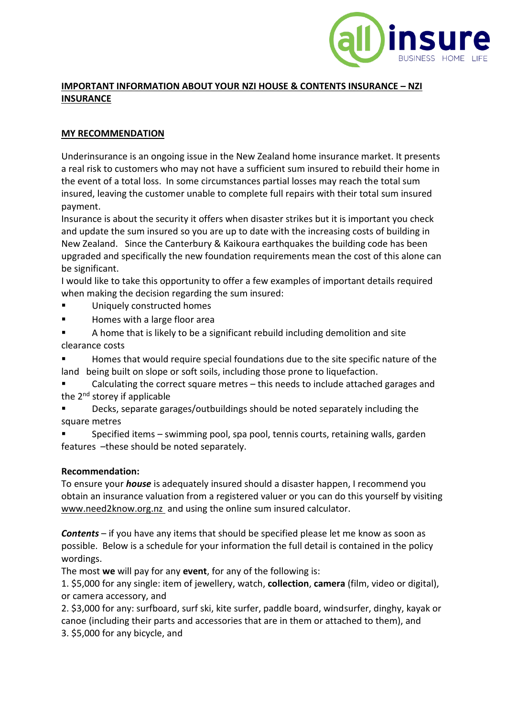

## **IMPORTANT INFORMATION ABOUT YOUR NZI HOUSE & CONTENTS INSURANCE – NZI INSURANCE**

## **MY RECOMMENDATION**

Underinsurance is an ongoing issue in the New Zealand home insurance market. It presents a real risk to customers who may not have a sufficient sum insured to rebuild their home in the event of a total loss. In some circumstances partial losses may reach the total sum insured, leaving the customer unable to complete full repairs with their total sum insured payment.

Insurance is about the security it offers when disaster strikes but it is important you check and update the sum insured so you are up to date with the increasing costs of building in New Zealand. Since the Canterbury & Kaikoura earthquakes the building code has been upgraded and specifically the new foundation requirements mean the cost of this alone can be significant.

I would like to take this opportunity to offer a few examples of important details required when making the decision regarding the sum insured:

- Uniquely constructed homes
- Homes with a large floor area
- A home that is likely to be a significant rebuild including demolition and site clearance costs

Homes that would require special foundations due to the site specific nature of the land being built on slope or soft soils, including those prone to liquefaction.

Calculating the correct square metres  $-$  this needs to include attached garages and the 2<sup>nd</sup> storey if applicable

Decks, separate garages/outbuildings should be noted separately including the square metres

Specified items – swimming pool, spa pool, tennis courts, retaining walls, garden features –these should be noted separately.

## **Recommendation:**

To ensure your *house* is adequately insured should a disaster happen, I recommend you obtain an insurance valuation from a registered valuer or you can do this yourself by visiting [www.need2know.org.nz](http://www.need2know.org.nz/) and using the online sum insured calculator.

*Contents* – if you have any items that should be specified please let me know as soon as possible. Below is a schedule for your information the full detail is contained in the policy wordings.

The most **we** will pay for any **event**, for any of the following is:

1. \$5,000 for any single: item of jewellery, watch, **collection**, **camera** (film, video or digital), or camera accessory, and

2. \$3,000 for any: surfboard, surf ski, kite surfer, paddle board, windsurfer, dinghy, kayak or canoe (including their parts and accessories that are in them or attached to them), and 3. \$5,000 for any bicycle, and